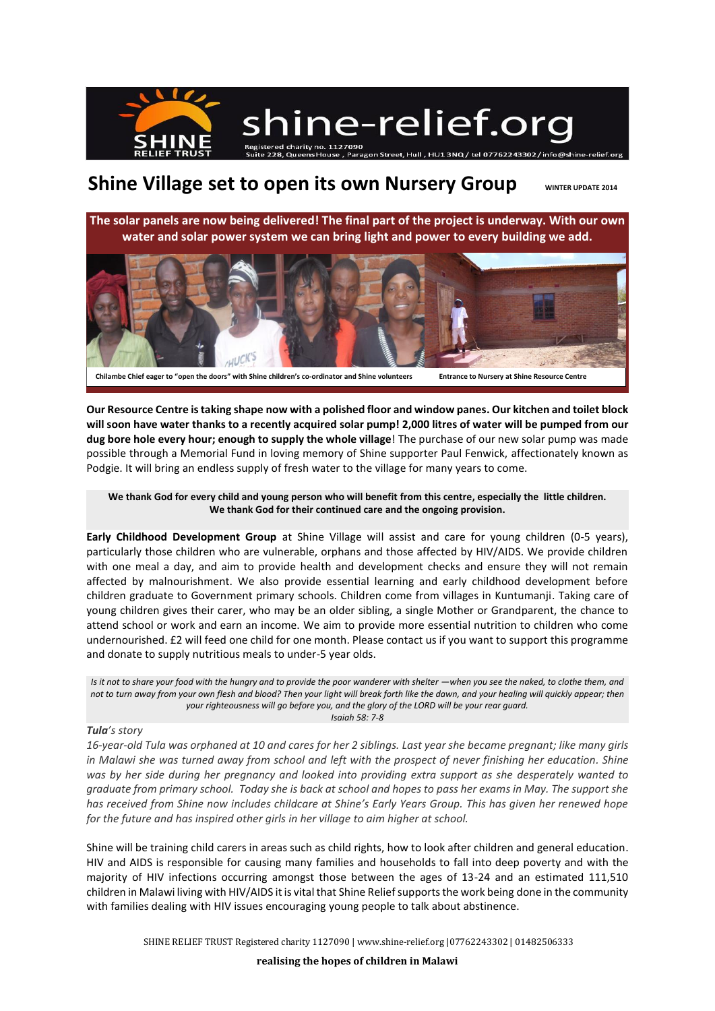

## **Shine Village set to open its own Nursery Group** WINTER UPDATE 2014

**The solar panels are now being delivered! The final part of the project is underway. With our own water and solar power system we can bring light and power to every building we add.**



**Our Resource Centre is taking shape now with a polished floor and window panes. Our kitchen and toilet block will soon have water thanks to a recently acquired solar pump! 2,000 litres of water will be pumped from our dug bore hole every hour; enough to supply the whole village**! The purchase of our new solar pump was made possible through a Memorial Fund in loving memory of Shine supporter Paul Fenwick, affectionately known as Podgie. It will bring an endless supply of fresh water to the village for many years to come.

**We thank God for every child and young person who will benefit from this centre, especially the little children. We thank God for their continued care and the ongoing provision.**

**Early Childhood Development Group** at Shine Village will assist and care for young children (0-5 years), particularly those children who are vulnerable, orphans and those affected by HIV/AIDS. We provide children with one meal a day, and aim to provide health and development checks and ensure they will not remain affected by malnourishment. We also provide essential learning and early childhood development before children graduate to Government primary schools. Children come from villages in Kuntumanji. Taking care of young children gives their carer, who may be an older sibling, a single Mother or Grandparent, the chance to attend school or work and earn an income. We aim to provide more essential nutrition to children who come undernourished. £2 will feed one child for one month. Please contact us if you want to support this programme and donate to supply nutritious meals to under-5 year olds.

*Is it not to share your food with the hungry and to provide the poor wanderer with shelter —when you see the naked, to clothe them, and not to turn away from your own flesh and blood? Then your light will break forth like the dawn, and your healing will quickly appear; then your righteousness will go before you, and the glory of the LORD will be your rear guard. Isaiah 58: 7-8*

## *Tula's story*

*16-year-old Tula was orphaned at 10 and cares for her 2 siblings. Last year she became pregnant; like many girls in Malawi she was turned away from school and left with the prospect of never finishing her education. Shine was by her side during her pregnancy and looked into providing extra support as she desperately wanted to graduate from primary school. Today she is back at school and hopes to pass her exams in May. The support she has received from Shine now includes childcare at Shine's Early Years Group. This has given her renewed hope for the future and has inspired other girls in her village to aim higher at school.*

Shine will be training child carers in areas such as child rights, how to look after children and general education. HIV and AIDS is responsible for causing many families and households to fall into deep poverty and with the majority of HIV infections occurring amongst those between the ages of 13-24 and an estimated 111,510 children in Malawi living with HIV/AIDS it is vital that Shine Relief supports the work being done in the community with families dealing with HIV issues encouraging young people to talk about abstinence.

SHINE RELIEF TRUST Registered charity 1127090 [| www.shine-relief.org](http://www.shine-relief.org/) |07762243302 | 01482506333

**realising the hopes of children in Malawi**